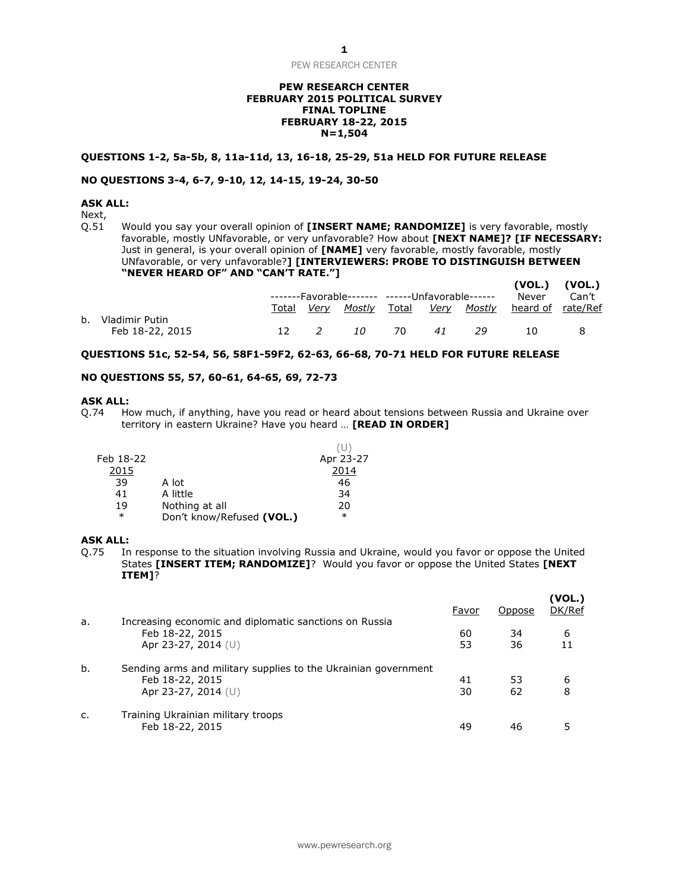PEW RESEARCH CENTER

## **PEW RESEARCH CENTER FEBRUARY 2015 POLITICAL SURVEY FINAL TOPLINE FEBRUARY 18-22, 2015 N=1,504**

#### **QUESTIONS 1-2, 5a-5b, 8, 11a-11d, 13, 16-18, 25-29, 51a HELD FOR FUTURE RELEASE**

# **NO QUESTIONS 3-4, 6-7, 9-10, 12, 14-15, 19-24, 30-50**

# **ASK ALL:**

Next,<br>Q.51 Would you say your overall opinion of **[INSERT NAME; RANDOMIZE]** is very favorable, mostly favorable, mostly UNfavorable, or very unfavorable? How about **[NEXT NAME]? [IF NECESSARY:**  Just in general, is your overall opinion of **[NAME]** very favorable, mostly favorable, mostly UNfavorable, or very unfavorable?**] [INTERVIEWERS: PROBE TO DISTINGUISH BETWEEN "NEVER HEARD OF" AND "CAN'T RATE."] (VOL.) (VOL.)**

|                   |       |  |     |                                                 |    |      |                                                        | (VUL.) (VUL.) |  |
|-------------------|-------|--|-----|-------------------------------------------------|----|------|--------------------------------------------------------|---------------|--|
|                   |       |  |     | -------Favorable------- ------Unfavorable------ |    |      | Never                                                  | Can't         |  |
|                   | Total |  |     |                                                 |    |      | <u>Very Mostly Total Very Mostly heard-of rate/Ref</u> |               |  |
| b. Vladimir Putin |       |  |     |                                                 |    |      |                                                        |               |  |
| Feb 18-22, 2015   |       |  | 10. | - 70                                            | 41 | - 29 | 10.                                                    |               |  |

## **QUESTIONS 51c, 52-54, 56, 58F1-59F2, 62-63, 66-68, 70-71 HELD FOR FUTURE RELEASE**

## **NO QUESTIONS 55, 57, 60-61, 64-65, 69, 72-73**

#### **ASK ALL:**

Q.74 How much, if anything, have you read or heard about tensions between Russia and Ukraine over territory in eastern Ukraine? Have you heard … **[READ IN ORDER]**

 $(1)$ 

| Feb 18-22 |                           | Apr 23-27 |
|-----------|---------------------------|-----------|
| 2015      |                           | 2014      |
| 39        | A lot                     | 46        |
| 41        | A little                  | 34        |
| 19        | Nothing at all            | 20        |
| $\ast$    | Don't know/Refused (VOL.) | $\ast$    |
|           |                           |           |

#### **ASK ALL:**

Q.75 In response to the situation involving Russia and Ukraine, would you favor or oppose the United States **[INSERT ITEM; RANDOMIZE]**? Would you favor or oppose the United States **[NEXT ITEM]**?

|    |                                                                | Favor | Oppose | (VOL.)<br>DK/Ref |
|----|----------------------------------------------------------------|-------|--------|------------------|
| a. | Increasing economic and diplomatic sanctions on Russia         |       |        |                  |
|    | Feb 18-22, 2015                                                | 60    | 34     | 6                |
|    | Apr 23-27, 2014 (U)                                            | 53    | 36     |                  |
| b. | Sending arms and military supplies to the Ukrainian government |       |        |                  |
|    | Feb 18-22, 2015                                                | 41    | 53     | 6                |
|    | Apr 23-27, 2014 (U)                                            | 30    | 62     | 8                |
| C. | Training Ukrainian military troops                             |       |        |                  |
|    | Feb 18-22, 2015                                                | 49    | 46     |                  |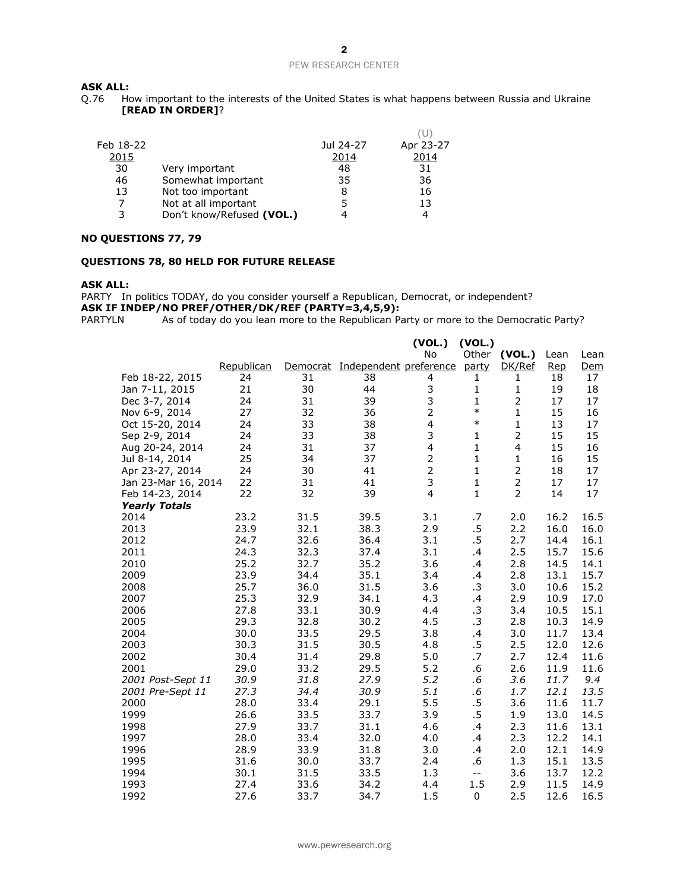**ASK ALL:**<br>Q.76 Ho How important to the interests of the United States is what happens between Russia and Ukraine **[READ IN ORDER]**?

| Feb 18-22 |                           | Jul 24-27 | Apr 23-27 |
|-----------|---------------------------|-----------|-----------|
| 2015      |                           | 2014      | 2014      |
| 30        | Very important            | 48        | 31        |
| 46        | Somewhat important        | 35        | 36        |
| 13        | Not too important         | 8         | 16        |
|           | Not at all important      | 5         | 13        |
| 3         | Don't know/Refused (VOL.) | 4         | 4         |
|           |                           |           |           |

#### **NO QUESTIONS 77, 79**

#### **QUESTIONS 78, 80 HELD FOR FUTURE RELEASE**

#### **ASK ALL:**

PARTY In politics TODAY, do you consider yourself a Republican, Democrat, or independent? **ASK IF INDEP/NO PREF/OTHER/DK/REF (PARTY=3,4,5,9):**

PARTYLN As of today do you lean more to the Republican Party or more to the Democratic Party?

|                      |            |          |                        | (VOL.)                  | (VOL.)       |                         |      |            |
|----------------------|------------|----------|------------------------|-------------------------|--------------|-------------------------|------|------------|
|                      |            |          |                        | No                      | Other        | (VOL.)                  | Lean | Lean       |
|                      | Republican | Democrat | Independent preference |                         | party        | DK/Ref                  | Rep  | <u>Dem</u> |
| Feb 18-22, 2015      | 24         | 31       | 38                     | 4                       | 1            | 1                       | 18   | 17         |
| Jan 7-11, 2015       | 21         | 30       | 44                     | 3                       | 1            | 1                       | 19   | 18         |
| Dec 3-7, 2014        | 24         | 31       | 39                     | 3                       | $\mathbf{1}$ |                         | 17   | 17         |
| Nov 6-9, 2014        | 27         | 32       | 36                     | $\overline{2}$          | $\ast$       | $\mathbf{1}$            | 15   | 16         |
| Oct 15-20, 2014      | 24         | 33       | 38                     | $\overline{\mathbf{4}}$ | $\ast$       | $\mathbf 1$             | 13   | 17         |
| Sep 2-9, 2014        | 24         | 33       | 38                     | 3                       | $\mathbf{1}$ | $\overline{2}$          | 15   | 15         |
| Aug 20-24, 2014      | 24         | 31       | 37                     | $\overline{\mathbf{4}}$ | $\mathbf{1}$ | $\overline{\mathbf{4}}$ | 15   | 16         |
| Jul 8-14, 2014       | 25         | 34       | 37                     | $\overline{c}$          | $\mathbf{1}$ | $\mathbf 1$             | 16   | 15         |
| Apr 23-27, 2014      | 24         | 30       | 41                     | $\overline{2}$          | $\mathbf{1}$ | $\overline{2}$          | 18   | 17         |
| Jan 23-Mar 16, 2014  | 22         | 31       | 41                     | 3                       | $\mathbf{1}$ | $\mathbf 2$             | 17   | 17         |
| Feb 14-23, 2014      | 22         | 32       | 39                     | $\overline{4}$          | $\mathbf{1}$ | $\overline{2}$          | 14   | 17         |
| <b>Yearly Totals</b> |            |          |                        |                         |              |                         |      |            |
| 2014                 | 23.2       | 31.5     | 39.5                   | 3.1                     | .7           | 2.0                     | 16.2 | 16.5       |
| 2013                 | 23.9       | 32.1     | 38.3                   | 2.9                     | $.5\,$       | 2.2                     | 16.0 | 16.0       |
| 2012                 | 24.7       | 32.6     | 36.4                   | 3.1                     | $.5\,$       | 2.7                     | 14.4 | 16.1       |
| 2011                 | 24.3       | 32.3     | 37.4                   | 3.1                     | .4           | 2.5                     | 15.7 | 15.6       |
| 2010                 | 25.2       | 32.7     | 35.2                   | 3.6                     | .4           | 2.8                     | 14.5 | 14.1       |
| 2009                 | 23.9       | 34.4     | 35.1                   | 3.4                     | .4           | 2.8                     | 13.1 | 15.7       |
| 2008                 | 25.7       | 36.0     | 31.5                   | 3.6                     | .3           | 3.0                     | 10.6 | 15.2       |
| 2007                 | 25.3       | 32.9     | 34.1                   | 4.3                     | .4           | 2.9                     | 10.9 | 17.0       |
| 2006                 | 27.8       | 33.1     | 30.9                   | 4.4                     | $\cdot$ 3    | 3.4                     | 10.5 | 15.1       |
| 2005                 | 29.3       | 32.8     | 30.2                   | 4.5                     | $\cdot$ 3    | 2.8                     | 10.3 | 14.9       |
| 2004                 | 30.0       | 33.5     | 29.5                   | 3.8                     | .4           | 3.0                     | 11.7 | 13.4       |
| 2003                 | 30.3       | 31.5     | 30.5                   | 4.8                     | .5           | 2.5                     | 12.0 | 12.6       |
| 2002                 | 30.4       | 31.4     | 29.8                   | 5.0                     | .7           | 2.7                     | 12.4 | 11.6       |
| 2001                 | 29.0       | 33.2     | 29.5                   | 5.2                     | .6           | 2.6                     | 11.9 | 11.6       |
| 2001 Post-Sept 11    | 30.9       | 31.8     | 27.9                   | 5.2                     | .6           | 3.6                     | 11.7 | 9,4        |
| 2001 Pre-Sept 11     | 27.3       | 34.4     | 30.9                   | 5.1                     | .6           | 1.7                     | 12.1 | 13.5       |
| 2000                 | 28.0       | 33.4     | 29.1                   | 5.5                     | .5           | 3.6                     | 11.6 | 11.7       |
| 1999                 | 26.6       | 33.5     | 33.7                   | 3.9                     | .5           | 1.9                     | 13.0 | 14.5       |
| 1998                 | 27.9       | 33.7     | 31.1                   | 4.6                     | .4           | 2.3                     | 11.6 | 13.1       |
| 1997                 | 28.0       | 33.4     | 32.0                   | 4.0                     | .4           | 2.3                     | 12.2 | 14.1       |
| 1996                 | 28.9       | 33.9     | 31.8                   | 3.0                     | .4           | 2.0                     | 12.1 | 14.9       |
| 1995                 | 31.6       | 30.0     | 33.7                   | 2.4                     | .6           | 1.3                     | 15.1 | 13.5       |
| 1994                 | 30.1       | 31.5     | 33.5                   | 1.3                     | $-$          | 3.6                     | 13.7 | 12.2       |
| 1993                 | 27.4       | 33.6     | 34.2                   | 4.4                     | 1.5          | 2.9                     | 11.5 | 14.9       |
| 1992                 | 27.6       | 33.7     | 34.7                   | 1.5                     | 0            | 2.5                     | 12.6 | 16.5       |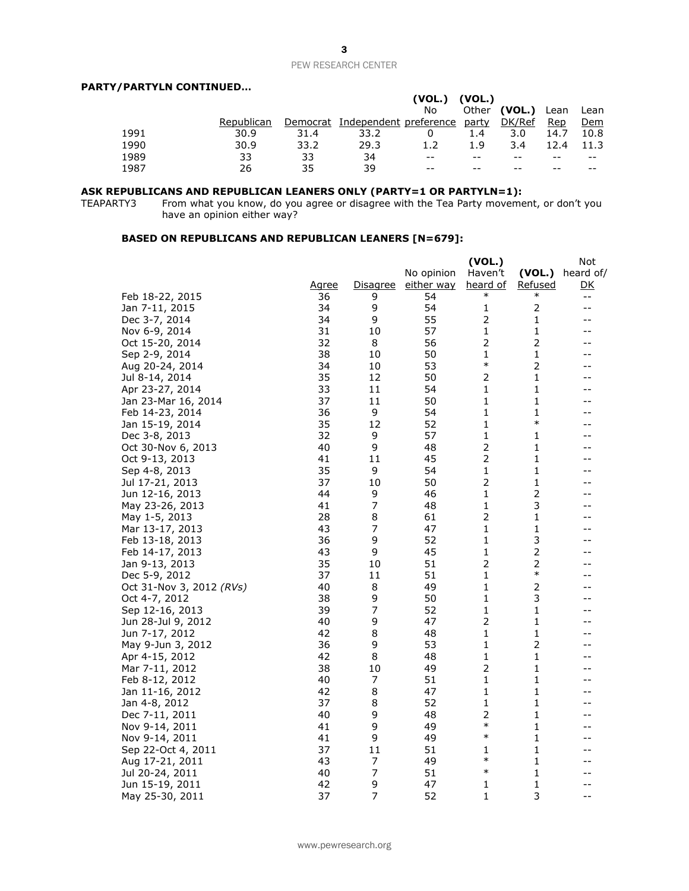## PEW RESEARCH CENTER

# **PARTY/PARTYLN CONTINUED…**

|      |            |          |                        | (VOL.) | (VOL.)       |                  |      |            |
|------|------------|----------|------------------------|--------|--------------|------------------|------|------------|
|      |            |          |                        | No     | Other        | (VOL.) Lean Lean |      |            |
|      | Republican | Democrat | Independent preference |        | <u>party</u> | DK/Ref           | Rep  | <u>Dem</u> |
| 1991 | 30.9       | 31.4     | 33.2                   |        | 1.4          | 3.0              | 14.7 | 10.8       |
| 1990 | 30.9       | 33.2     | 29.3                   | 1.2    | 1.9          | 3.4              | 12.4 | 11.3       |
| 1989 | 33         | 33       | 34                     | $- -$  |              |                  | --   | $- -$      |
| 1987 | 26         | 35       | 39                     | $- -$  |              |                  |      | --         |

#### **ASK REPUBLICANS AND REPUBLICAN LEANERS ONLY (PARTY=1 OR PARTYLN=1):**

TEAPARTY3 From what you know, do you agree or disagree with the Tea Party movement, or don't you have an opinion either way?

# **BASED ON REPUBLICANS AND REPUBLICAN LEANERS [N=679]:**

|                          |              |                 |                   | (VOL.)         |                | Not       |
|--------------------------|--------------|-----------------|-------------------|----------------|----------------|-----------|
|                          |              |                 | No opinion        | Haven't        | (VOL.)         | heard of/ |
|                          | <u>Agree</u> | <u>Disagree</u> | <u>either way</u> | heard of       | Refused        | <u>DК</u> |
| Feb 18-22, 2015          | 36           | 9               | 54                | $\ast$         | $\ast$         | --        |
| Jan 7-11, 2015           | 34           | 9               | 54                | 1              | $\overline{2}$ | $-$       |
| Dec 3-7, 2014            | 34           | 9               | 55                | $\overline{2}$ | 1              | --        |
| Nov 6-9, 2014            | 31           | 10              | 57                | $\mathbf{1}$   | 1              | --        |
| Oct 15-20, 2014          | 32           | 8               | 56                | 2              | $\overline{2}$ | --        |
| Sep 2-9, 2014            | 38           | 10              | 50                | 1              | 1              | --        |
| Aug 20-24, 2014          | 34           | 10              | 53                | $\ast$         | $\overline{2}$ | --        |
| Jul 8-14, 2014           | 35           | 12              | 50                | $\overline{2}$ | 1              | --        |
| Apr 23-27, 2014          | 33           | 11              | 54                | 1              | 1              | $-1$      |
| Jan 23-Mar 16, 2014      | 37           | 11              | 50                | 1              | 1              | --        |
| Feb 14-23, 2014          | 36           | 9               | 54                | 1              | 1              | --        |
| Jan 15-19, 2014          | 35           | 12              | 52                | 1              | $\ast$         | --        |
| Dec 3-8, 2013            | 32           | 9               | 57                | 1              | 1              | --        |
| Oct 30-Nov 6, 2013       | 40           | 9               | 48                | $\overline{2}$ | 1              | --        |
| Oct 9-13, 2013           | 41           | 11              | 45                | 2              | 1              | --        |
| Sep 4-8, 2013            | 35           | 9               | 54                | 1              | 1              | --        |
| Jul 17-21, 2013          | 37           | 10              | 50                | $\overline{2}$ | 1              | --        |
| Jun 12-16, 2013          | 44           | 9               | 46                | 1              | 2              | --        |
| May 23-26, 2013          | 41           | $\overline{7}$  | 48                | $\mathbf{1}$   | 3              | --        |
| May 1-5, 2013            | 28           | 8               | 61                | 2              | 1              | --        |
| Mar 13-17, 2013          | 43           | 7               | 47                | 1              | 1              |           |
| Feb 13-18, 2013          | 36           | 9               | 52                | 1              | 3              | --        |
| Feb 14-17, 2013          | 43           | 9               | 45                | 1              | 2              | --        |
| Jan 9-13, 2013           | 35           | 10              | 51                | $\overline{2}$ | 2              | --        |
| Dec 5-9, 2012            | 37           | 11              | 51                | 1              | $\ast$         | --        |
| Oct 31-Nov 3, 2012 (RVs) | 40           | 8               | 49                | 1              | 2              | --        |
| Oct 4-7, 2012            | 38           | 9               | 50                | 1              | 3              | --        |
| Sep 12-16, 2013          | 39           | 7               | 52                | 1              | 1              | --        |
| Jun 28-Jul 9, 2012       | 40           | 9               | 47                | $\overline{2}$ | 1              | --        |
| Jun 7-17, 2012           | 42           | 8               | 48                | 1              | 1              | --        |
| May 9-Jun 3, 2012        | 36           | 9               | 53                | 1              | 2              | --        |
| Apr 4-15, 2012           | 42           | 8               | 48                | 1              | 1              | --        |
| Mar 7-11, 2012           | 38           | 10              | 49                | 2              | 1              | --        |
| Feb 8-12, 2012           | 40           | 7               | 51                | $\mathbf{1}$   | 1              | --        |
| Jan 11-16, 2012          | 42           | 8               | 47                | 1              | 1              | --        |
| Jan 4-8, 2012            | 37           | 8               | 52                | 1              | 1              | --        |
| Dec 7-11, 2011           | 40           | 9               | 48                | $\overline{2}$ | 1              | --        |
| Nov 9-14, 2011           | 41           | 9               | 49                | $\ast$         | 1              | --        |
| Nov 9-14, 2011           | 41           | 9               | 49                | $\ast$         | 1              | --        |
| Sep 22-Oct 4, 2011       | 37           | 11              | 51                | 1              | 1              | --        |
| Aug 17-21, 2011          | 43           | 7               | 49                | $\ast$         | 1              |           |
| Jul 20-24, 2011          | 40           | 7               | 51                | $\ast$         | 1              | --        |
| Jun 15-19, 2011          | 42           | 9               | 47                | 1              | 1              | --        |
| May 25-30, 2011          | 37           | $\overline{7}$  | 52                | 1              | 3              | $-$       |